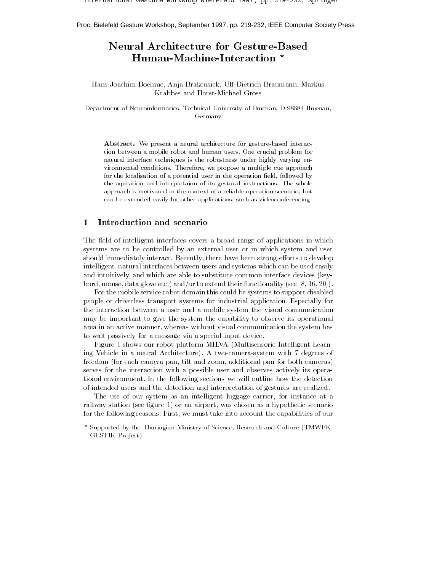Proc. Bielefeld Gesture Workshop, September 1997, pp. 219-232, IEEE Computer Society Press

# Neural Architecture for Gesture-Based Human-Machine-Interaction

Hans-Joachim Boehme Anja Brakensiek Ulf-Dietrich Braumann Markus

, and the second of the Indian Company of Ilmenau-Ilmenau-Ilmenau-Ilmenau-Ilmenau-Ilmenau-Ilmenau-Ilmenau-Ilme Germany

Abstract- We present a neural architecture for gesturebased interac tion between a mobile robot and human users One crucial problem for natural interface techniques is the robustness under highly varying en vironmental conditions Therefore-Therefore-Thermologies and the propose and the second for the localisation of a potential user in the operation eld- followed by the aquisition and interpretaion of its gestural instructions The whole approach is motivated in the context of a reliable operation scenario- but can be extended easily for other applications- such as videoconferencing

#### $\mathbf 1$ Introduction and scenario

The field of intelligent interfaces covers a broad range of applications in which systems are to be controlled by an external user or in which system and user should immediately interact. Recently, there have been strong efforts to develop intelligent, natural interfaces between users and systems which can be used easily and intuitively, and which are able to substitute common interface devices (keybord mouse data glove etc and or to extend their functionality see 

For the mobile service robot domain this could be systems to support disabled people or driverless transport systems for industrial application Especially for the interaction between a user and a mobile system the visual communication may be important to give the system the capability to observe its operational area in an active manner whereas without visual communication the system has to wait passively for a message via a special input device

Figure 1 shows our robot platform MILVA (Multisensoric Intelligent Learning Vehicle in a neural Architecture A two-camera-system with degrees of freedom (for each camera pan, tilt and zoom, additional pan for both cameras) serves for the interaction with a possible user and observes actively its operational environment In the following sections we will outline how the detection of intended users and the detection and interpretation of gestures are realized

The use of our system as an intelligent luggage carrier, for instance at a railway station (see figure 1) or an airport, was chosen as a hypothetic scenario for the following reasons: First, we must take into account the capabilities of our

 $\hat{\ }$  Supported by the Thuringian Ministry of Science, Research and Culture (TMWFK, GESTIK-Project)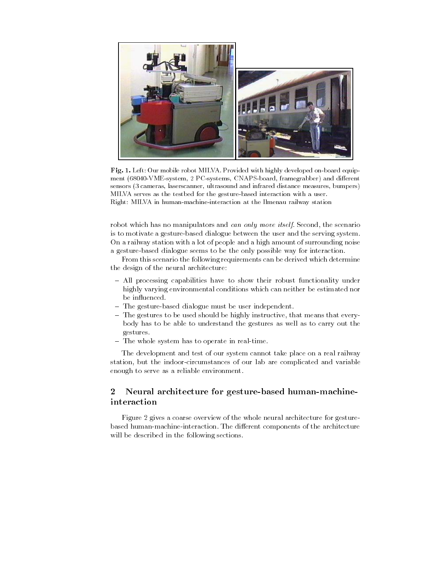

Fig- - Left Our mobile robot MILVA Provided with highly developed onboard equip ment van die van die van die van die van die van die van die van die van die van die van die van die van die v sensors cameras- laserscanner- ultrasound and infrared distance measures- bumpers MILVA serves as the testbed for the gesture-based interaction with a user. Right: MILVA in human-machine-interaction at the Ilmenau railway station

robot which has no manipulators and *can only move itself*. Second, the scenario is to motivate a gesture-based dialogue between the user and the serving system On a railway station with a lot of people and a high amount of surrounding noise a gesture-dialogue seems gue seems to be the only possible way for interactions.

From this scenario the following requirements can be derived which determine the design of the neural architecture

- All processing capabilities have to show their robust functionality under highly varying environmental conditions which can neither be estimated nor be influenced.
- The gesture-based dialogue must be user independent
- $-$  The gestures to be used should be highly instructive, that means that everybody has to be able to understand the gestures as well as to carry out the gestures
- The whole system has to operate in real-time in real-time in real-time in real-time in real-time in real-time in  $\mathcal{L}_\text{max}$

The development and test of our system cannot take place on a real railway station but the indoor-circumstances of our lab are complicated and variable enough to serve as a reliable environment

### $\overline{2}$ Neural architecture for gesture-based human-machineinteraction

Figure 2 gives a coarse overview of the whole neural architecture for gesturebased human-machine-interaction The dierent components of the architecture will be described in the following sections.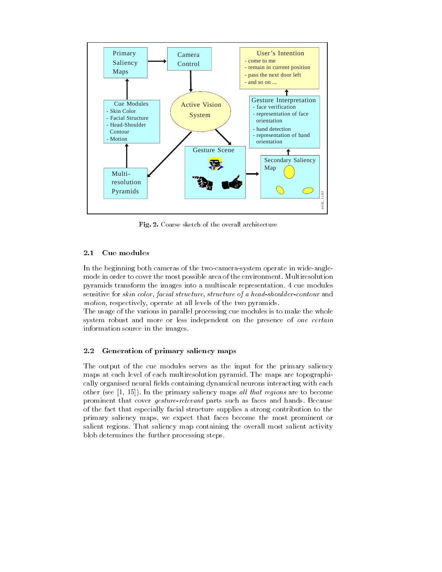

Fig- - Coarse sketch of the overall architecture

#### $2.1$ Cue modules

In the beginning both cameras of the two-camera-system operate in wide-anglemode in order to cover the most possible area of the environment. Multiresolution pyramids transform the images into a multiscale representation. 4 cue modules sensitive for skin color facial structure structure of a head-shoulder-contour and motion, respectively, operate at all levels of the two pyramids.

The usage of the various in parallel processing cue modules is to make the whole system robust and more or less independent on the presence of one certain information source in the images

#### $2.2$ Generation of primary saliency maps

The output of the cue modules serves as the input for the primary saliency maps at each level of each multiresolution pyramid. The maps are topographically organised neural fields containing dynamical neurons interacting with each  $\alpha$  is the primary saliency maps an *inut regions* are to become prominent that cover gesture-relevant parts such as faces and hands. Because of the fact that especially facial structure supplies a strong contribution to the primary saliency maps we expect that faces become the most prominent or salient regions. That saliency map containing the overall most salient activity blob determines the further processing steps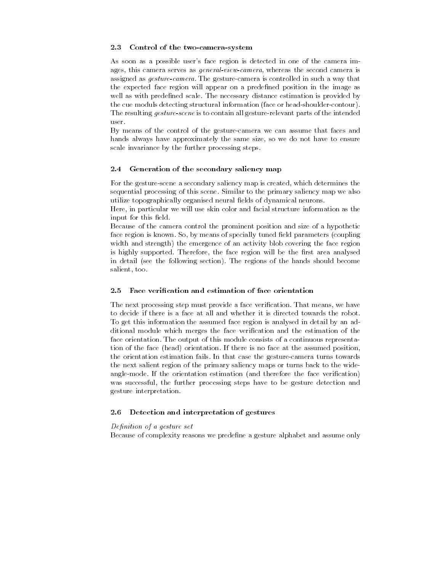#### 2.3 Control of the two-camera-system

As soon as a possible user's face region is detected in one of the camera images, this camera serves as general-theory camera, microse the second camera and capera as gesture-cumera, in gesture-cumenta in controlled in such a may that the the expected face region will appear on a predefined position in the image as well as with predefined scale. The necessary distance estimation is provided by the cue moduls detecting structural information face or head-shoulder-contour The resulting gesture-scene is to contain all gesture-relevant parts of the intended *user* 

By means of the control of the gesture-camera we can assume that faces and hands always have approximately the same size, so we do not have to ensure scale invariance by the further processing steps

#### $2.4$ Generation of the secondary saliency map

For the gesture-scene a secondary saliency map is created which determines the sequential processing of this scene Similar to the primary saliency map we also utilize topographically organised neural fields of dynamical neurons.

Here in particular we will use skin color and facial structure information as the input for this field.

Because of the camera control the prominent position and size of a hypothetic face region is known. So, by means of specially tuned field parameters (coupling width and strength) the emergence of an activity blob covering the face region is highly supported. Therefore, the face region will be the first area analysed in detail (see the following section). The regions of the hands should become salient, too.

# 2.5 Face verification and estimation of face orientation

The next processing step must provide a face verification. That means, we have to decide if there is a face at all and whether it is directed towards the robot To get this information the assumed face region is analysed in detail by an additional module which merges the face verification and the estimation of the face orientation. The output of this module consists of a continuous representation of the face (head) orientation. If there is no face at the assumed position, the orientation estimation fails In that case the gesture-camera turns towards the next salient region of the primary saliency maps or turns back to the widemode is the orientation estimation and the face in the face verification and the face verification  $\mu$ was successful, the further processing steps have to be gesture detection and gesture interpretation

## Detection and interpretation of gestures

### Definition of a gesture set

Because of complexity reasons we predefine a gesture alphabet and assume only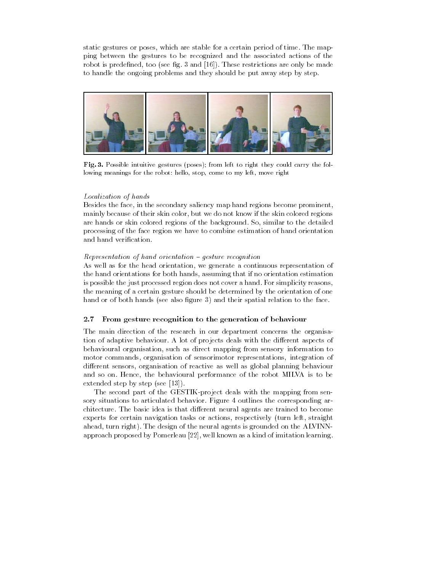static gestures or poses, which are stable for a certain period of time. The mapping between the gestures to be recognized and the associated actions of the robot is predened to see gallering a minor prepty measure and minor are presented the material to handle the ongoing problems and they should be put away step by step



Fig- - Possible intuitive gestures poses from left to right they could carry the fol lowing meanings for the robot hello- stop- come to my left- move right

# Localization of hands

Besides the face, in the secondary saliency map hand regions become prominent, mainly because of their skin color, but we do not know if the skin colored regions are hands or skin colored regions of the background. So, similar to the detailed processing of the face region we have to combine estimation of hand orientation and hand verification.

### Representation of hand orientation  $-g$ esture recognition

As well as for the head orientation we generate a continuous representation of the hand orientations for both hands, assuming that if no orientation estimation is possible the just processed region does not cover a hand For simplicity reasons the meaning of a certain gesture should be determined by the orientation of one hand or of both hands (see also figure 3) and their spatial relation to the face.

# 2.7 From gesture recognition to the generation of behaviour

The main direction of the research in our department concerns the organisation of adaptive behaviour. A lot of projects deals with the different aspects of behavioural organisation, such as direct mapping from sensory information to motor commands, organisation of sensorimotor representations, integration of different sensors, organisation of reactive as well as global planning behaviour and so on. Hence, the behavioural performance of the robot MILVA is to be extended step by step step step seeds to be a step seeds of the step seeds to be a step seeds to be a step seeds

The second part of the GESTIK-project deals with the mapping from sensory situations to articulated behavior. Figure 4 outlines the corresponding architecture. The basic idea is that different neural agents are trained to become experts for certain navigation tasks or actions, respectively (turn left, straight ahead, turn right). The design of the neural agents is grounded on the ALVINNapproach proposed by Pomerleau and the Pomerleau as a kind of imitation learning as a kind of imitation learning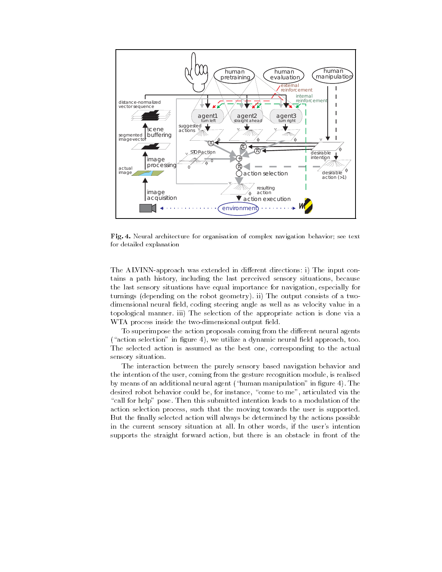

Fig- - Neural architecture for organisation of complex navigation behavior see text for detailed explanation

approach was extended in directions in directions in directions in the interest of the interest of  $\mathcal{L}$ tains a path history, including the last perceived sensory situations, because the last sensory situations have equal importance for navigation especially for turnings (depending on the robot geometry). ii) The output consists of a twodimensional neural field, coding steering angle as well as as velocity value in a topological manner. iii) The selection of the appropriate action is done via a was process inside the two-dimensional output elder.

To superimpose the action proposals coming from the different neural agents ("action selection" in figure 4), we utilize a dynamic neural field approach, too. The selected action is assumed as the best one, corresponding to the actual sensory situation.

The interaction between the purely sensory based navigation behavior and the intention of the user, coming from the gesture recognition module, is realised by means of an additional neural agent ("human manipulation" in figure  $4$ ). The desired robot behavior could be, for instance, "come to me", articulated via the "call for help" pose. Then this submitted intention leads to a modulation of the action selection process, such that the moving towards the user is supported. But the finally selected action will always be determined by the actions possible in the current sensory situation at all. In other words, if the user's intention supports the straight forward action, but there is an obstacle in front of the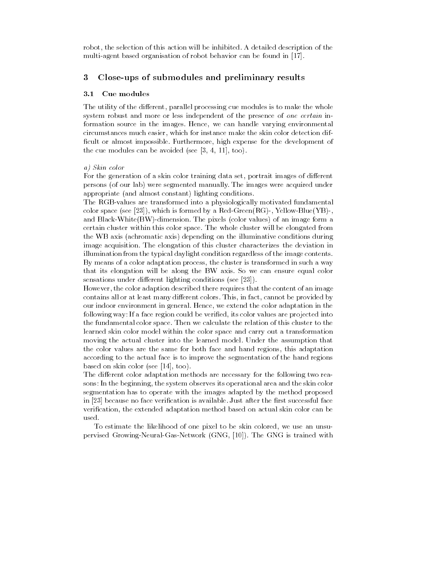robot, the selection of this action will be inhibited. A detailed description of the multi-agent based organisation of robot behavior can be found in 

#### 3 Close-ups of submodules and preliminary results

# Cue modules

The utility of the different, parallel processing cue modules is to make the whole system robust and more or less independent of the presence of one certain information source in the images. Hence, we can handle varying environmental circumstances much easier which for instance make the skin color detection difficult or almost impossible. Furthermore, high expense for the development of the cuencies can be avoided set of  $\mathbf{r}$  and  $\mathbf{r}$  and  $\mathbf{r}$  and  $\mathbf{r}$ 

### a) Skin color

For the generation of a skin color training data set, portrait images of different persons (of our lab) were segmented manually. The images were acquired under appropriate (and almost constant) lighting conditions.

The RGB-values are transformed into a physiologically motivated fundamental color space  $\{x \in \{1, \ldots, m\}$  is formed by a red-color section  $\{y \in \{1, \ldots, m\}$  , we have  $\{y \in \{1, \ldots, m\} \}$ and Black-WhiteBW-dimension The pixels color values of an image form a certain cluster within this color space The whole cluster will be elongated from the WB axis (achromatic axis) depending on the illuminative conditions during image acquisition The elongation of this cluster characterizes the deviation in illumination from the typical daylight condition regardless of the image contents By means of a color adaptation process, the cluster is transformed in such a way that its elongation will be along the BW axis So we can ensure equal color sensations under dierent lighting conditions see

However, the color adaption described there requires that the content of an image contains all or at least many different colors. This, in fact, cannot be provided by our indoor environment in general. Hence, we extend the color adaptation in the following way: If a face region could be verified, its color values are projected into the fundamental color space. Then we calculate the relation of this cluster to the learned skin color model within the color space and carry out a transformation moving the actual cluster into the learned model Under the assumption that the color values are the same for both face and hand regions this adaptation according to the actual face is to improve the segmentation of the hand regions based on skin color see to based on the color see the color see the color see the color see the color see the

The different color adaptation methods are necessary for the following two reasons: In the beginning, the system observes its operational area and the skin color segmentation has to operate with the images adapted by the method proposed ... per arrange in the rate is available to distinct the rate of the rate of the rate  $\ldots$ verification, the extended adaptation method based on actual skin color can be used

To estimate the likelihood of one pixel to be skin colored, we use an unsupervised a relating reduced and relationship and property and the GNG is trained with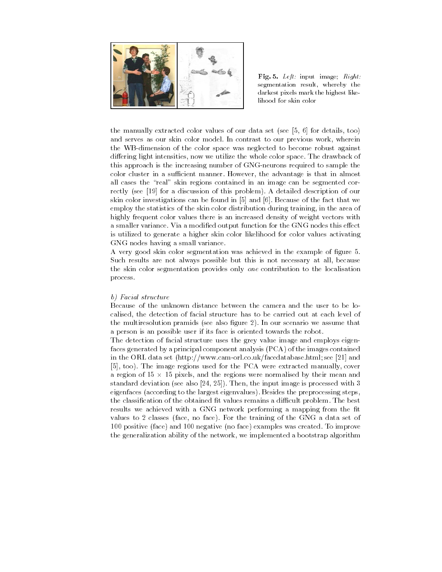

Fig- - Left- input image Rightsegment results and results and results and results of the second state of the second state of the second state darkest pixels mark the highest like lihood for skin color

the manually extracted color values of our data set set set set set set set see a set set set set see a set se and serves as our skin color model. In contrast to our previous work, wherein the WB-dimension of the color space was neglected to become robust against differing light intensities, now we utilize the whole color space. The drawback of this approach is the increasing number of GNG-neurons required to sample the color cluster in a sufficient manner. However, the advantage is that in almost all cases the "real" skin regions contained in an image can be segmented correctly see  for a discussion of this problem A detailed description of our skin color investigations can be found in the fact that we can be found in the fact that we can be fact that we can be fact that we can be fact that we can be fact that we can be fact that we can be fact that we can be fa employ the statistics of the skin color distribution during training in the area of highly frequent color values there is an increased density of weight vectors with a smaller variance. Via a modified output function for the GNG nodes this effect is utilized to generate a higher skin color likelihood for color values activating GNG nodes having a small variance

A very good skin color segmentation was achieved in the example of figure 5. Such results are not always possible but this is not necessary at all because the skin color segmentation provides only one contribution to the localisation process

## b) Facial structure

Because of the unknown distance between the camera and the user to be localised, the detection of facial structure has to be carried out at each level of the multiresolution pramids (see also figure  $2$ ). In our scenario we assume that a person is an possible user if its face is oriented towards the robot

The detection of facial structure uses the grey value image and employs eigenfaces generated by a principal component analysis (PCA) of the images contained in the ORL data set http://www.facedatabasehtml see  $\mathbf{r}$  too The image regions used for the PCA were extracted manually cover a region of  $15 \times 15$  pixels, and the regions were normalised by their mean and standard deviation see also Then the input image is processed with eigenfaces (according to the largest eigenvalues). Besides the preprocessing steps, the classification of the obtained fit values remains a difficult problem. The best results we achieved with a GNG network performing a mapping from the fit values to 2 classes (face, no face). For the training of the GNG a data set of  $100$  positive (face) and  $100$  negative (no face) examples was created. To improve the generalization ability of the network, we implemented a bootstrap algorithm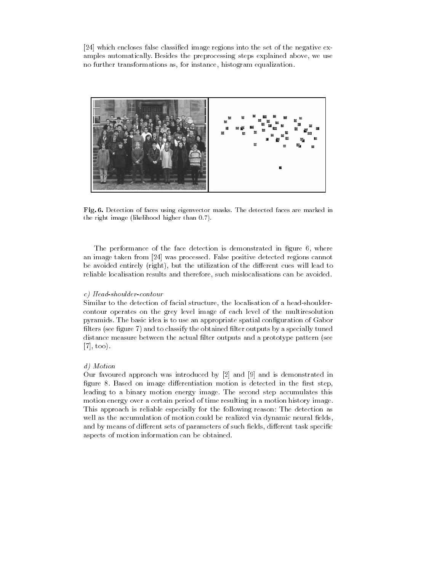which encloses false classied image regions into the set of the negative examples automatically. Besides the preprocessing steps explained above, we use no further transformations as for instance histogram equalization



Fig- - Detection of faces using eigenvector masks The detected faces are marked in the right image likelihood higher than

The performance of the face detection is demonstrated in figure 6, where an image taken from processed False positive detected regions cannot be avoided entirely (right), but the utilization of the different cues will lead to reliable localisation results and therefore, such mislocalisations can be avoided.

# c 11 cau - shoulder-contour

Similar to the detection of facial structure the localisation of a head-shouldercontour operates on the grey level image of each level of the multiresolution pyramids The basic idea is to use an appropriate spatial conguration of Gabor filters (see figure  $7$ ) and to classify the obtained filter outputs by a specially tuned distance measure between the actual filter outputs and a prototype pattern (see too

### d) Motion

Our favoured approach was introduced by and and is demonstrated in figure 8. Based on image differentiation motion is detected in the first step, leading to a binary motion energy image. The second step accumulates this motion energy over a certain period of time resulting in a motion history image This approach is reliable especially for the following reason: The detection as well as the accumulation of motion could be realized via dynamic neural fields, and by means of different sets of parameters of such fields, different task specific aspects of motion information can be obtained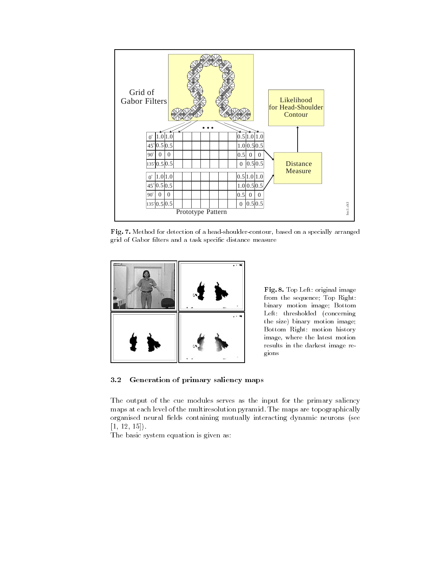

Fig- - Method for detection of a headshouldercontour- based on a specially arranged grid of Gabor filters and a task specific distance measure



s and the second original images of the second of the second of the second of the second of the second of the s from the sequence; Top Right: binary motion image; Bottom Left thresholded concerning the size) binary motion image; Bottom Right motion history image-latest motion and the latest motion of the latest motion of the latest motion of the latest motion of the results in the darkest image re gions

#### 3.2 Generation of primary saliency maps

The output of the cue modules serves as the input for the primary saliency maps at each level of the multiresolution pyramid The maps are topographically organised neural fields containing mutually interacting dynamic neurons (see 

The basic system equation is given as: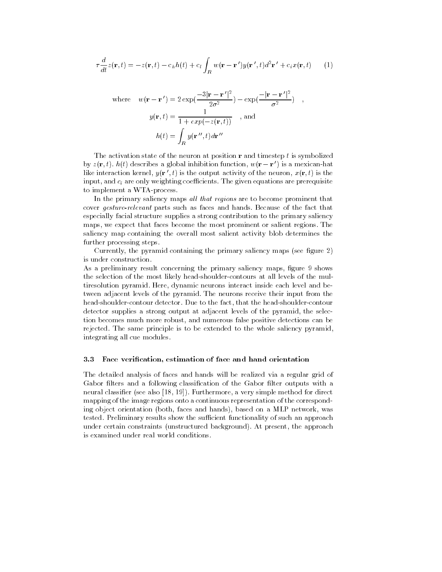$$
\tau \frac{d}{dt} z(\mathbf{r}, t) = -z(\mathbf{r}, t) - c_h h(t) + c_l \int_R w(\mathbf{r} - \mathbf{r}') y(\mathbf{r}', t) d^2 \mathbf{r}' + c_i x(\mathbf{r}, t) \qquad (1)
$$

where 
$$
w(\mathbf{r} - \mathbf{r}') = 2 \exp\left(\frac{-3|\mathbf{r} - \mathbf{r}'|^2}{2\sigma^2}\right) - \exp\left(\frac{-|\mathbf{r} - \mathbf{r}'|^2}{\sigma^2}\right)
$$
,  
\n
$$
y(\mathbf{r}, t) = \frac{1}{1 + exp(-z(\mathbf{r}, t))}
$$
, and  
\n
$$
h(t) = \int_R y(\mathbf{r}'', t) d\mathbf{r}''
$$

The activation state of the neuron at position  ${\bf r}$  and timestep t is symbolized by  $z(\mathbf{r},t)$ .  $n(t)$  describes a giobal inhibition function,  $w(\mathbf{r}-\mathbf{r}$  ) is a mexican-nat like interaction kernel,  $y(\mathbf{r}_{-},t)$  is the output activity of the neuron,  $x(\mathbf{r},t)$  is the input, and  $c_i$  are only weighting coefficients. The given equations are prerequisite to implement a WTA-s procession

In the primary saliency maps all that regions are to become prominent that cover gesture-levelant parts such as faces and hands Because of the fact that t especially facial structure supplies a strong contribution to the primary saliency maps we expect that faces become the most prominent or salient regions The saliency map containing the overall most salient activity blob determines the further processing steps

Currently, the pyramid containing the primary saliency maps (see figure  $2$ ) is under construction

As a preliminary result concerning the primary saliency maps, figure 9 shows the streethed of the distance indice, heads shown at all shows at all levels of the multiresolution pyramid. Here, dynamic neurons interact inside each level and between adjacent levels of the pyramid. The neurons receive their input from the head-shoulder-contour detector Due to the fact that the head-shoulder-contour detector supplies a strong output at adjacent levels of the pyramid, the selection becomes much more robust, and numerous false positive detections can be rejected. The same principle is to be extended to the whole saliency pyramid, integrating all cue modules

# 3.3 Face verification, estimation of face and hand orientation

The detailed analysis of faces and hands will be realized via a regular grid of Gabor filters and a following classification of the Gabor filter outputs with a neural classier see also   Furthermore a very simple method for direct mapping of the image regions onto a continuous representation of the corresponding object orientation (both, faces and hands), based on a MLP network, was tested. Preliminary results show the sufficient functionality of such an approach under certain constraints (unstructured background). At present, the approach is examined under real world conditions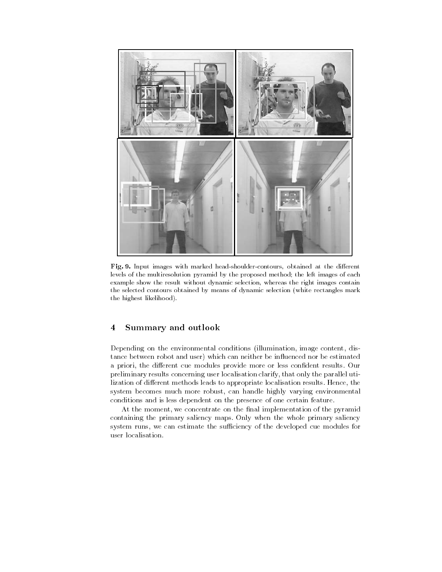

Fig- - Input images with marked headshouldercontours- obtained at the dierent levels of the multiresolution pyramid by the proposed method; the left images of each example show the result without dynamic selection- whereas the right images contain the selected contours obtained by means of dynamic selection white rectangles mark the highest likelihood

#### $\bf{4}$ Summary and outlook

Depending on the environmental conditions (illumination, image content, distance between robot and user) which can neither be influenced nor be estimated a priori, the different cue modules provide more or less confident results. Our preliminary results concerning user localisation clarify that only the parallel utilization of different methods leads to appropriate localisation results. Hence, the system becomes much more robust, can handle highly varying environmental conditions and is less dependent on the presence of one certain feature

At the moment, we concentrate on the final implementation of the pyramid containing the primary saliency maps Only when the whole primary saliency system runs, we can estimate the sufficiency of the developed cue modules for user localisation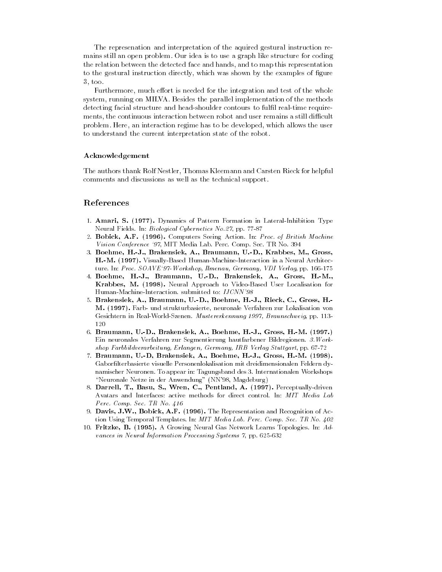The represenation and interpretation of the aquired gestural instruction remains still an open problem Our idea is to use a graph like structure for coding the relation between the detected face and hands and to map this representation to the gestural instruction directly, which was shown by the examples of figure  $3.~\text{too}$ 

Furthermore, much effort is needed for the integration and test of the whole system, running on MILVA. Besides the parallel implementation of the methods detecting facial structure and head-shoulder contours to full real-time requirements, the continuous interaction between robot and user remains a still difficult problem Here an interaction regime has to be developed which allows the user to understand the current interpretation state of the robot

### Acknowledgement

The authors thank Rolf Nestler, Thomas Kleemann and Carsten Rieck for helpful comments and discussions as well as the technical support

# References

- and the state of  $\{1,2,3,4\}$  , and  $\{2,3,4\}$  is the state of the state  $\{1,2,4\}$  is the state of  $\{1,2,4\}$ Neural Fields In Biological Cybernetics No- pp
- $\mathbf{A}$  Computers Seeing Action International Machinese Machinese Machinese Machinese Machinese Machinese Machinese Machinese Machinese Machinese Machinese Machinese Machinese Machinese Machinese Machinese Machinese Ma vision conference - a power compared manufacture - a sample with the component of the
- are the state of the state of the state of the state of the state of the state of the state of the state of th H-M- 
 - VisuallyBased HumanMachineInteraction in a Neural Architec ture is the state in the contract of the state of the state of the state of the state of the state of the state of the state of the state of the state of the state of the state of the state of the state of the state of the
- a brannen bet in brannening it bis brannening in die de beste der der den beste beste beste der der der der de Krabbes M- - Neural Approach to VideoBased User Localisation for
- $\mathcal{B}$  are the state of the state of the state  $\mathcal{B}$  . The state of the state of the state of the state of the state of the state of the state of the state of the state of the state of the state of the state of the s M- 
 - Farb und strukturbasierte- neuronale Verfahren zur Lokalisation von gesichtern in Real worden der Braunsen der Antibeteilung von der der Antibeteilung bestehenden der Antibeteil 120
- $\mathbb{R}^n$  . The definition of the state  $\mathbb{R}^n$  is a state of the state of the state of the state of the state of the state of the state of the state of the state of the state of the state of the state of the state of Ein neuronales Verfahren zur Segmentierung hautfarbener Bildregionen. 3. Workshop Farbbildverarbeitung eines Erlangen der Stuttgart- der Stuttgart- der Stuttgart- eine Stuttgart- eine Stuttgart- eine Stuttgart- eine Stuttgart- eine Stuttgart- eine Stuttgart- eine Stuttgart- eine Stuttgart- eine Stu
- ar brannannig fa by brannanning for boehang bor fa ar for for the year  $\mu$ Gaborfilterbasierte visuelle Personenlokalisation mit dreidimensionalen Feldern dynamischer Neuronen To appear in Tagungsband des Internationalen Workshops Neuronale Netze in der Anwendung NN- Magdeburg
- ar <del>a</del> basuri and the strong striven in the strong case of the strong control the strong control to the strong of the strong strong strong strong strong strong strong strong strong strong strong strong strong strong strong Avatars and Interfaces: active methods for direct control. In: MIT Media Lab Perc. Comp. Sec. TR No.  $416$
- Davis J-W- Bobick A-F- 
 The Representation and Recognition of Ac tion Using Temporal Templates. In: MIT Media Lab. Perc. Comp. Sec. TR No. 402
- Fritzke B- 
 A Growing Neural Gas Network Learns Topologies In Ad vances in the most there is no controlled by the systems of poperations and